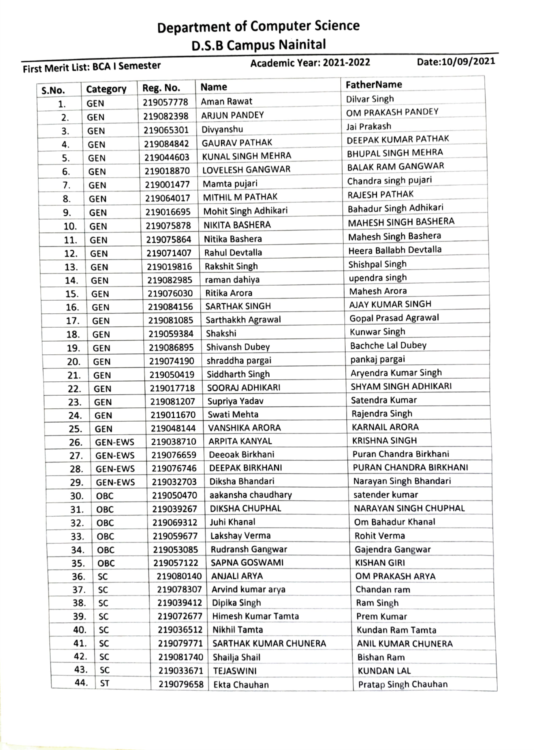## Department of Computer Science D.S.B Campus Nainital

## First Merit List: BCA l Semester

Academic Year: 2021-2022 Date:10/09/2021

| S.No. | Category       | Reg. No.  | <b>Name</b>              | <b>FatherName</b>            |
|-------|----------------|-----------|--------------------------|------------------------------|
| 1.    | <b>GEN</b>     | 219057778 | Aman Rawat               | Dilvar Singh                 |
| 2.    | <b>GEN</b>     | 219082398 | <b>ARJUN PANDEY</b>      | OM PRAKASH PANDEY            |
| 3.    | <b>GEN</b>     | 219065301 | Divyanshu                | Jai Prakash                  |
| 4.    | <b>GEN</b>     | 219084842 | <b>GAURAV PATHAK</b>     | DEEPAK KUMAR PATHAK          |
| 5.    | <b>GEN</b>     | 219044603 | <b>KUNAL SINGH MEHRA</b> | <b>BHUPAL SINGH MEHRA</b>    |
| 6.    | <b>GEN</b>     | 219018870 | LOVELESH GANGWAR         | <b>BALAK RAM GANGWAR</b>     |
| 7.    | <b>GEN</b>     | 219001477 | Mamta pujari             | Chandra singh pujari         |
| 8.    | <b>GEN</b>     | 219064017 | MITHIL M PATHAK          | RAJESH PATHAK                |
| 9.    | <b>GEN</b>     | 219016695 | Mohit Singh Adhikari     | Bahadur Singh Adhikari       |
| 10.   | <b>GEN</b>     | 219075878 | NIKITA BASHERA           | MAHESH SINGH BASHERA         |
| 11.   | <b>GEN</b>     | 219075864 | Nitika Bashera           | <b>Mahesh Singh Bashera</b>  |
| 12.   | <b>GEN</b>     | 219071407 | <b>Rahul Devtalla</b>    | Heera Ballabh Devtalla       |
| 13.   | <b>GEN</b>     | 219019816 | <b>Rakshit Singh</b>     | <b>Shishpal Singh</b>        |
| 14.   | <b>GEN</b>     | 219082985 | raman dahiya             | upendra singh                |
| 15.   | <b>GEN</b>     | 219076030 | Ritika Arora             | <b>Mahesh Arora</b>          |
| 16.   | <b>GEN</b>     | 219084156 | <b>SARTHAK SINGH</b>     | <b>AJAY KUMAR SINGH</b>      |
| 17.   | <b>GEN</b>     | 219081085 | Sarthakkh Agrawal        | <b>Gopal Prasad Agrawal</b>  |
| 18.   | <b>GEN</b>     | 219059384 | Shakshi                  | <b>Kunwar Singh</b>          |
| 19.   | <b>GEN</b>     | 219086895 | Shivansh Dubey           | <b>Bachche Lal Dubey</b>     |
| 20.   | <b>GEN</b>     | 219074190 | shraddha pargai          | pankaj pargai                |
| 21.   | <b>GEN</b>     | 219050419 | Siddharth Singh          | Aryendra Kumar Singh         |
| 22.   | <b>GEN</b>     | 219017718 | <b>SOORAJ ADHIKARI</b>   | <b>SHYAM SINGH ADHIKARI</b>  |
| 23.   | <b>GEN</b>     | 219081207 | Supriya Yadav            | Satendra Kumar               |
| 24.   | <b>GEN</b>     | 219011670 | Swati Mehta              | Rajendra Singh               |
| 25.   | <b>GEN</b>     | 219048144 | <b>VANSHIKA ARORA</b>    | <b>KARNAIL ARORA</b>         |
| 26.   | <b>GEN-EWS</b> | 219038710 | <b>ARPITA KANYAL</b>     | <b>KRISHNA SINGH</b>         |
| 27.   | <b>GEN-EWS</b> | 219076659 | Deeoak Birkhani          | Puran Chandra Birkhani       |
| 28.   | <b>GEN-EWS</b> | 219076746 | <b>DEEPAK BIRKHANI</b>   | PURAN CHANDRA BIRKHANI       |
| 29.   | <b>GEN-EWS</b> | 219032703 | Diksha Bhandari          | Narayan Singh Bhandari       |
| 30.   | <b>OBC</b>     | 219050470 | aakansha chaudhary       | satender kumar               |
| 31.   | OBC            | 219039267 | <b>DIKSHA CHUPHAL</b>    | <b>NARAYAN SINGH CHUPHAL</b> |
| 32.   | OBC            | 219069312 | Juhi Khanal              | Om Bahadur Khanal            |
| 33.   | <b>OBC</b>     | 219059677 | Lakshay Verma            | <b>Rohit Verma</b>           |
| 34.   | OBC            | 219053085 | <b>Rudransh Gangwar</b>  | Gajendra Gangwar             |
| 35.   | OBC            | 219057122 | <b>SAPNA GOSWAMI</b>     | <b>KISHAN GIRI</b>           |
| 36.   | SC             | 219080140 | <b>ANJALI ARYA</b>       | OM PRAKASH ARYA              |
| 37.   | SC             | 219078307 | Arvind kumar arya        | Chandan ram                  |
| 38.   | SC             | 219039412 | Dipika Singh             | Ram Singh                    |
| 39.   | SC             | 219072677 | Himesh Kumar Tamta       | Prem Kumar                   |
| 40.   | SC             | 219036512 | Nikhil Tamta             | Kundan Ram Tamta             |
| 41.   | SC             | 219079771 | SARTHAK KUMAR CHUNERA    | ANIL KUMAR CHUNERA           |
| 42.   | SC             | 219081740 | Shailja Shail            | <b>Bishan Ram</b>            |
| 43.   | SC             | 219033671 | <b>TEJASWINI</b>         | <b>KUNDAN LAL</b>            |
| 44.   | ST             | 219079658 | Ekta Chauhan             | Pratap Singh Chauhan         |